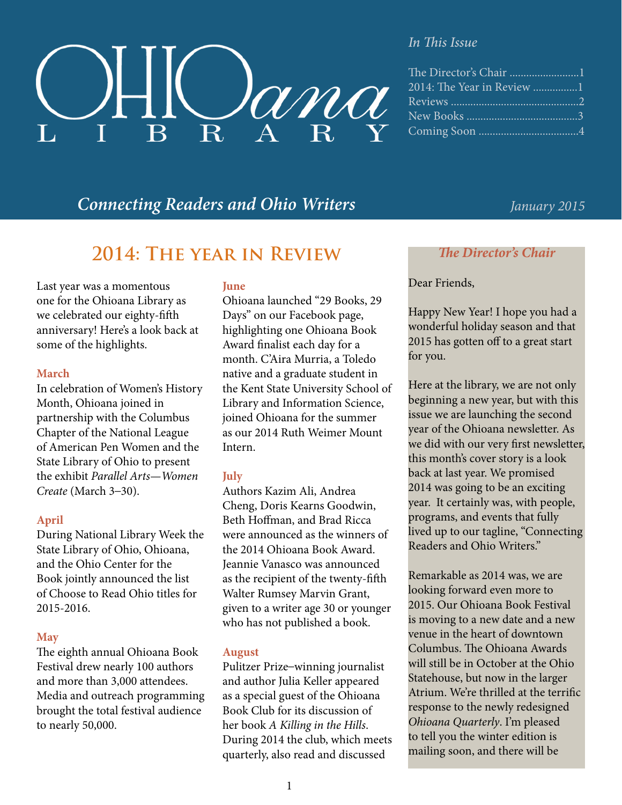

#### *In This Issue*

| The Director's Chair 1 |
|------------------------|
|                        |
|                        |
|                        |
|                        |

### *Connecting Readers and Ohio Writers January 2015*

### **2014: The year in Review**

Last year was a momentous one for the Ohioana Library as we celebrated our eighty-fifth anniversary! Here's a look back at some of the highlights.

#### **March**

In celebration of Women's History Month, Ohioana joined in partnership with the Columbus Chapter of the National League of American Pen Women and the State Library of Ohio to present the exhibit *Parallel Arts—Women Create* (March 3–30).

#### **April**

During National Library Week the State Library of Ohio, Ohioana, and the Ohio Center for the Book jointly announced the list of Choose to Read Ohio titles for 2015-2016.

#### **May**

The eighth annual Ohioana Book Festival drew nearly 100 authors and more than 3,000 attendees. Media and outreach programming brought the total festival audience to nearly 50,000.

#### **June**

Ohioana launched "29 Books, 29 Days" on our Facebook page, highlighting one Ohioana Book Award finalist each day for a month. C'Aira Murria, a Toledo native and a graduate student in the Kent State University School of Library and Information Science, joined Ohioana for the summer as our 2014 Ruth Weimer Mount Intern.

#### **July**

Authors Kazim Ali, Andrea Cheng, Doris Kearns Goodwin, Beth Hoffman, and Brad Ricca were announced as the winners of the 2014 Ohioana Book Award. Jeannie Vanasco was announced as the recipient of the twenty-fifth Walter Rumsey Marvin Grant, given to a writer age 30 or younger who has not published a book.

#### **August**

Pulitzer Prize–winning journalist and author Julia Keller appeared as a special guest of the Ohioana Book Club for its discussion of her book *A Killing in the Hills*. During 2014 the club, which meets quarterly, also read and discussed

#### *The Director's Chair*

#### Dear Friends,

Happy New Year! I hope you had a wonderful holiday season and that 2015 has gotten off to a great start for you.

Here at the library, we are not only beginning a new year, but with this issue we are launching the second year of the Ohioana newsletter. As we did with our very first newsletter, this month's cover story is a look back at last year. We promised 2014 was going to be an exciting year. It certainly was, with people, programs, and events that fully lived up to our tagline, "Connecting Readers and Ohio Writers."

Remarkable as 2014 was, we are looking forward even more to 2015. Our Ohioana Book Festival is moving to a new date and a new venue in the heart of downtown Columbus. The Ohioana Awards will still be in October at the Ohio Statehouse, but now in the larger Atrium. We're thrilled at the terrific response to the newly redesigned *Ohioana Quarterly*. I'm pleased to tell you the winter edition is mailing soon, and there will be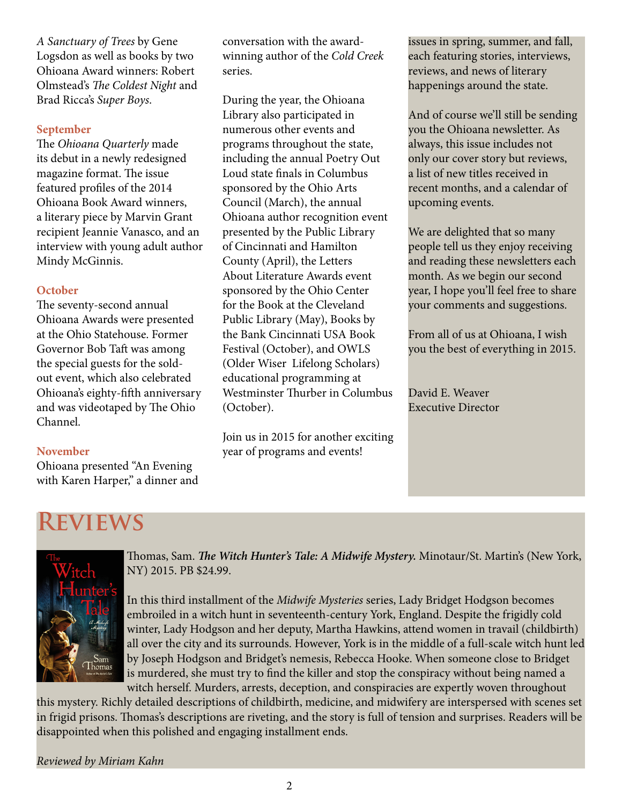*A Sanctuary of Trees* by Gene Logsdon as well as books by two Ohioana Award winners: Robert Olmstead's *The Coldest Night* and Brad Ricca's *Super Boys*.

#### **September**

The *Ohioana Quarterly* made its debut in a newly redesigned magazine format. The issue featured profiles of the 2014 Ohioana Book Award winners, a literary piece by Marvin Grant recipient Jeannie Vanasco, and an interview with young adult author Mindy McGinnis.

#### **October**

The seventy-second annual Ohioana Awards were presented at the Ohio Statehouse. Former Governor Bob Taft was among the special guests for the soldout event, which also celebrated Ohioana's eighty-fifth anniversary and was videotaped by The Ohio Channel.

#### **November**

Ohioana presented "An Evening with Karen Harper," a dinner and

conversation with the awardwinning author of the *Cold Creek* series.

During the year, the Ohioana Library also participated in numerous other events and programs throughout the state, including the annual Poetry Out Loud state finals in Columbus sponsored by the Ohio Arts Council (March), the annual Ohioana author recognition event presented by the Public Library of Cincinnati and Hamilton County (April), the Letters About Literature Awards event sponsored by the Ohio Center for the Book at the Cleveland Public Library (May), Books by the Bank Cincinnati USA Book Festival (October), and OWLS (Older Wiser Lifelong Scholars) educational programming at Westminster Thurber in Columbus (October).

Join us in 2015 for another exciting year of programs and events!

issues in spring, summer, and fall, each featuring stories, interviews, reviews, and news of literary happenings around the state.

And of course we'll still be sending you the Ohioana newsletter. As always, this issue includes not only our cover story but reviews, a list of new titles received in recent months, and a calendar of upcoming events.

We are delighted that so many people tell us they enjoy receiving and reading these newsletters each month. As we begin our second year, I hope you'll feel free to share your comments and suggestions.

From all of us at Ohioana, I wish you the best of everything in 2015.

David E. Weaver Executive Director

# **Reviews**



Thomas, Sam. *The Witch Hunter's Tale: A Midwife Mystery.* Minotaur/St. Martin's (New York, NY) 2015. PB \$24.99.

In this third installment of the *Midwife Mysteries* series, Lady Bridget Hodgson becomes embroiled in a witch hunt in seventeenth-century York, England. Despite the frigidly cold winter, Lady Hodgson and her deputy, Martha Hawkins, attend women in travail (childbirth) all over the city and its surrounds. However, York is in the middle of a full-scale witch hunt led by Joseph Hodgson and Bridget's nemesis, Rebecca Hooke. When someone close to Bridget is murdered, she must try to find the killer and stop the conspiracy without being named a witch herself. Murders, arrests, deception, and conspiracies are expertly woven throughout

this mystery. Richly detailed descriptions of childbirth, medicine, and midwifery are interspersed with scenes set in frigid prisons. Thomas's descriptions are riveting, and the story is full of tension and surprises. Readers will be disappointed when this polished and engaging installment ends.

*Reviewed by Miriam Kahn*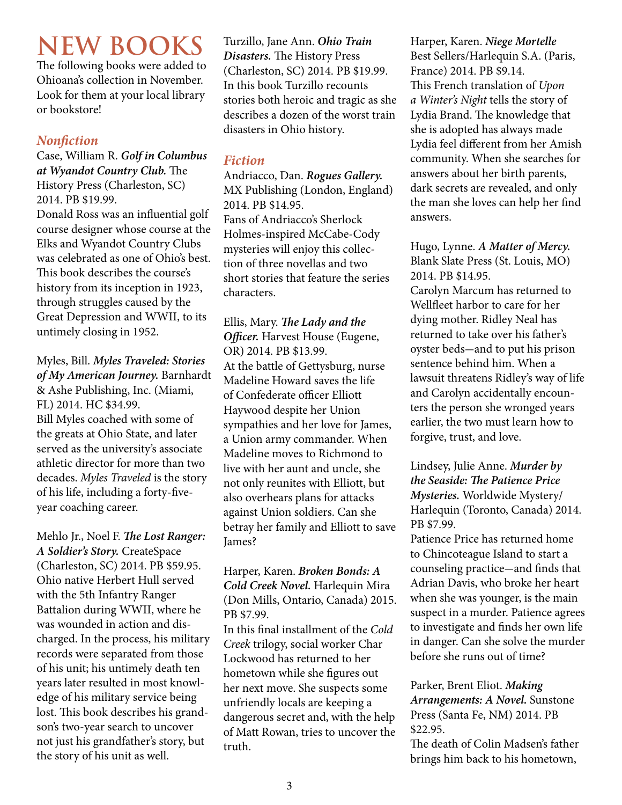# **NEW BOOKS**

The following books were added to Ohioana's collection in November. Look for them at your local library or bookstore!

#### *Nonfiction*

Case, William R. *Golf in Columbus at Wyandot Country Club.* The History Press (Charleston, SC) 2014. PB \$19.99.

Donald Ross was an influential golf course designer whose course at the Elks and Wyandot Country Clubs was celebrated as one of Ohio's best. This book describes the course's history from its inception in 1923, through struggles caused by the Great Depression and WWII, to its untimely closing in 1952.

Myles, Bill. *Myles Traveled: Stories of My American Journey.* Barnhardt & Ashe Publishing, Inc. (Miami, FL) 2014. HC \$34.99. Bill Myles coached with some of the greats at Ohio State, and later served as the university's associate athletic director for more than two decades. *Myles Traveled* is the story of his life, including a forty-fiveyear coaching career.

Mehlo Jr., Noel F. *The Lost Ranger: A Soldier's Story.* CreateSpace (Charleston, SC) 2014. PB \$59.95. Ohio native Herbert Hull served with the 5th Infantry Ranger Battalion during WWII, where he was wounded in action and discharged. In the process, his military records were separated from those of his unit; his untimely death ten years later resulted in most knowledge of his military service being lost. This book describes his grandson's two-year search to uncover not just his grandfather's story, but the story of his unit as well.

Turzillo, Jane Ann. *Ohio Train Disasters.* The History Press (Charleston, SC) 2014. PB \$19.99. In this book Turzillo recounts stories both heroic and tragic as she describes a dozen of the worst train disasters in Ohio history.

#### *Fiction*

Andriacco, Dan. *Rogues Gallery.*  MX Publishing (London, England) 2014. PB \$14.95. Fans of Andriacco's Sherlock Holmes-inspired McCabe-Cody mysteries will enjoy this collection of three novellas and two short stories that feature the series characters.

Ellis, Mary. *The Lady and the Officer.* Harvest House (Eugene, OR) 2014. PB \$13.99. At the battle of Gettysburg, nurse Madeline Howard saves the life of Confederate officer Elliott Haywood despite her Union sympathies and her love for James, a Union army commander. When Madeline moves to Richmond to live with her aunt and uncle, she not only reunites with Elliott, but also overhears plans for attacks against Union soldiers. Can she betray her family and Elliott to save James?

Harper, Karen. *Broken Bonds: A Cold Creek Novel.* Harlequin Mira (Don Mills, Ontario, Canada) 2015. PB \$7.99.

In this final installment of the *Cold Creek* trilogy, social worker Char Lockwood has returned to her hometown while she figures out her next move. She suspects some unfriendly locals are keeping a dangerous secret and, with the help of Matt Rowan, tries to uncover the truth.

Harper, Karen. *Niege Mortelle*  Best Sellers/Harlequin S.A. (Paris, France) 2014. PB \$9.14. This French translation of *Upon a Winter's Night* tells the story of Lydia Brand. The knowledge that she is adopted has always made Lydia feel different from her Amish community. When she searches for answers about her birth parents, dark secrets are revealed, and only the man she loves can help her find answers.

Hugo, Lynne. *A Matter of Mercy.* Blank Slate Press (St. Louis, MO) 2014. PB \$14.95.

Carolyn Marcum has returned to Wellfleet harbor to care for her dying mother. Ridley Neal has returned to take over his father's oyster beds-and to put his prison sentence behind him. When a lawsuit threatens Ridley's way of life and Carolyn accidentally encounters the person she wronged years earlier, the two must learn how to forgive, trust, and love.

Lindsey, Julie Anne. *Murder by the Seaside: The Patience Price Mysteries.* Worldwide Mystery/ Harlequin (Toronto, Canada) 2014. PB \$7.99.

Patience Price has returned home to Chincoteague Island to start a counseling practice-and finds that Adrian Davis, who broke her heart when she was younger, is the main suspect in a murder. Patience agrees to investigate and finds her own life in danger. Can she solve the murder before she runs out of time?

Parker, Brent Eliot. *Making Arrangements: A Novel.* Sunstone Press (Santa Fe, NM) 2014. PB \$22.95.

The death of Colin Madsen's father brings him back to his hometown,